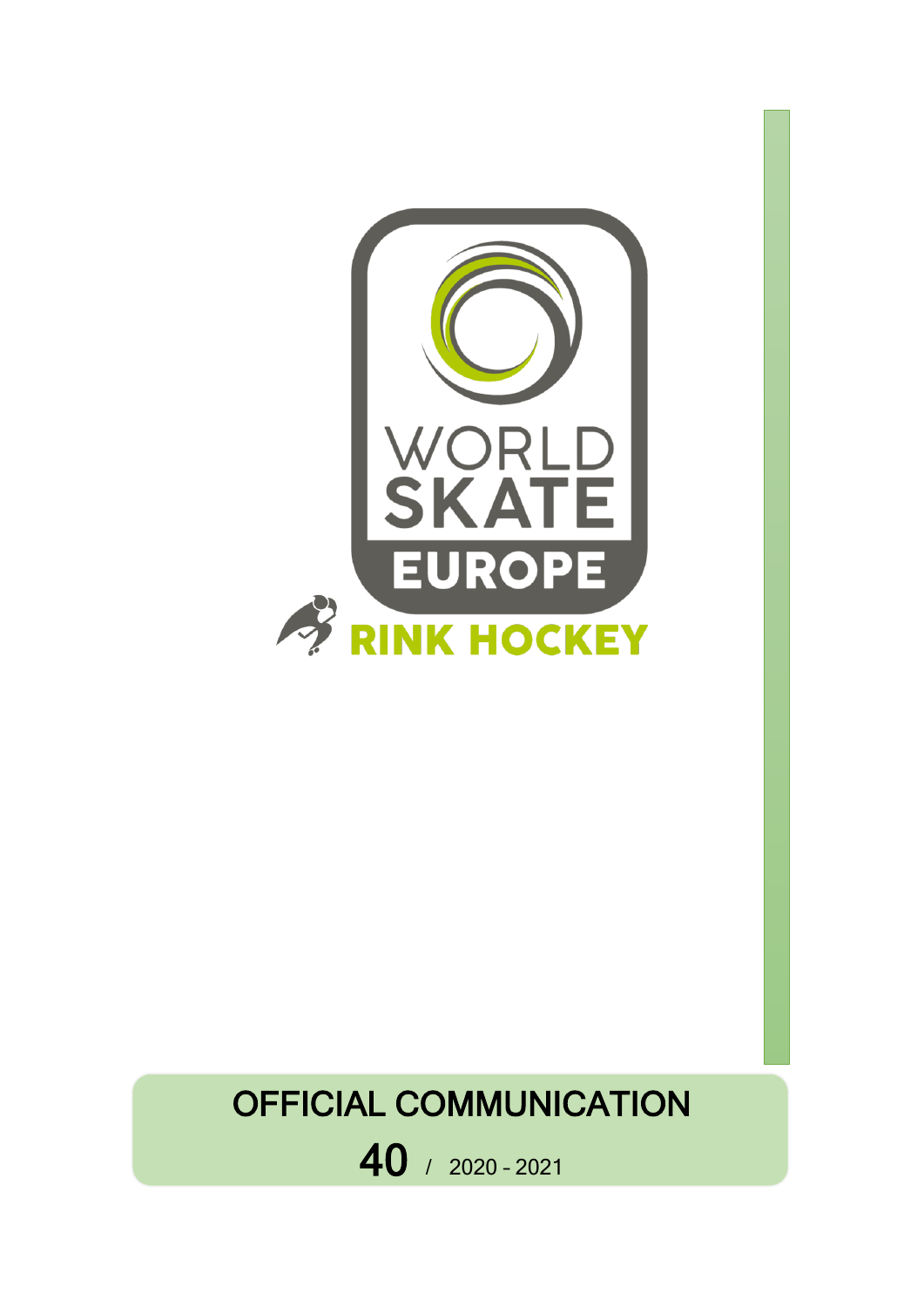

# OFFICIAL COMMUNICATION

40 / 2020 – <sup>2021</sup>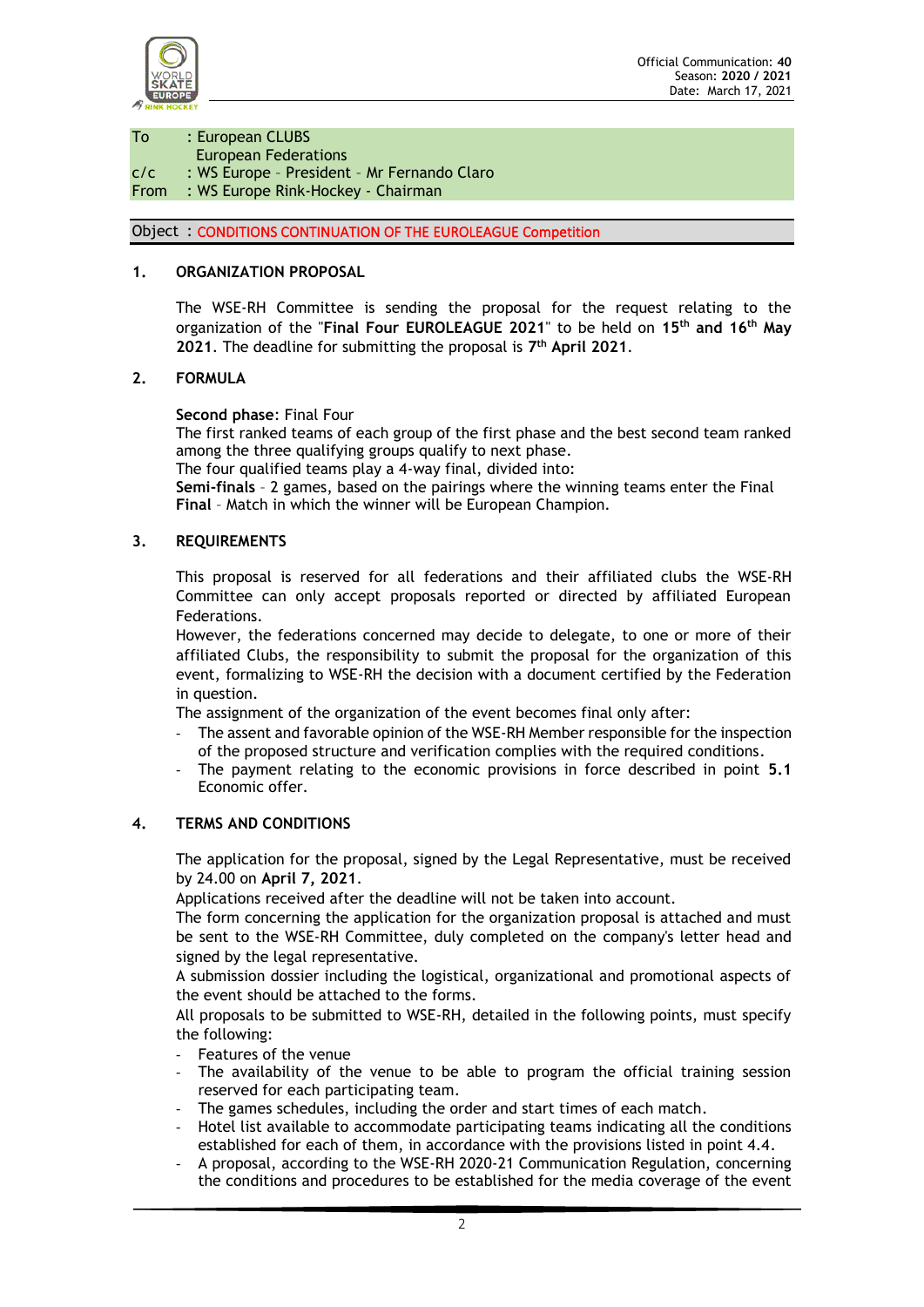

To : European CLUBS European Federations c/c : WS Europe – President – Mr Fernando Claro From : WS Europe Rink-Hockey - Chairman

# Object : CONDITIONS CONTINUATION OF THE EUROLEAGUE Competition

# **1. ORGANIZATION PROPOSAL**

The WSE-RH Committee is sending the proposal for the request relating to the organization of the "**Final Four EUROLEAGUE 2021**" to be held on **15th and 16th May 2021**. The deadline for submitting the proposal is **7 th April 2021**.

#### **2. FORMULA**

**Second phase**: Final Four

The first ranked teams of each group of the first phase and the best second team ranked among the three qualifying groups qualify to next phase.

The four qualified teams play a 4-way final, divided into:

**Semi-finals** – 2 games, based on the pairings where the winning teams enter the Final **Final** – Match in which the winner will be European Champion.

#### **3. REQUIREMENTS**

This proposal is reserved for all federations and their affiliated clubs the WSE-RH Committee can only accept proposals reported or directed by affiliated European Federations.

However, the federations concerned may decide to delegate, to one or more of their affiliated Clubs, the responsibility to submit the proposal for the organization of this event, formalizing to WSE-RH the decision with a document certified by the Federation in question.

The assignment of the organization of the event becomes final only after:

- The assent and favorable opinion of the WSE-RH Member responsible for the inspection of the proposed structure and verification complies with the required conditions.
- The payment relating to the economic provisions in force described in point **5.1** Economic offer.

#### **4. TERMS AND CONDITIONS**

The application for the proposal, signed by the Legal Representative, must be received by 24.00 on **April 7, 2021**.

Applications received after the deadline will not be taken into account.

The form concerning the application for the organization proposal is attached and must be sent to the WSE-RH Committee, duly completed on the company's letter head and signed by the legal representative.

A submission dossier including the logistical, organizational and promotional aspects of the event should be attached to the forms.

All proposals to be submitted to WSE-RH, detailed in the following points, must specify the following:

- Features of the venue
- The availability of the venue to be able to program the official training session reserved for each participating team.
- The games schedules, including the order and start times of each match.
- Hotel list available to accommodate participating teams indicating all the conditions established for each of them, in accordance with the provisions listed in point 4.4.
- A proposal, according to the WSE-RH 2020-21 Communication Regulation, concerning the conditions and procedures to be established for the media coverage of the event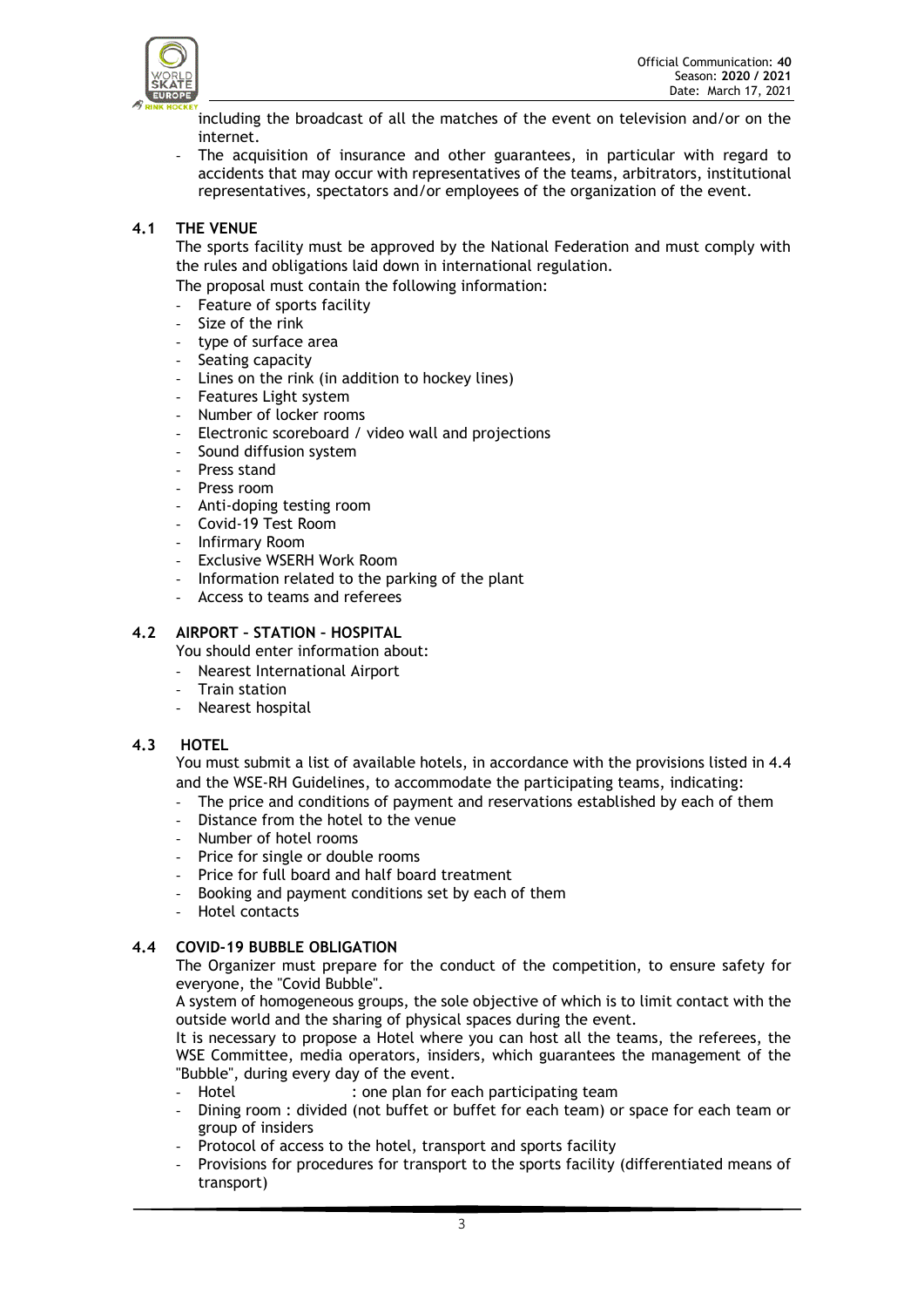

including the broadcast of all the matches of the event on television and/or on the internet.

The acquisition of insurance and other guarantees, in particular with regard to accidents that may occur with representatives of the teams, arbitrators, institutional representatives, spectators and/or employees of the organization of the event.

# **4.1 THE VENUE**

The sports facility must be approved by the National Federation and must comply with the rules and obligations laid down in international regulation.

The proposal must contain the following information:

- Feature of sports facility
- Size of the rink
- type of surface area
- Seating capacity
- Lines on the rink (in addition to hockey lines)
- Features Light system
- Number of locker rooms
- Electronic scoreboard / video wall and projections
- Sound diffusion system
- Press stand
- Press room
- Anti-doping testing room
- Covid-19 Test Room
- Infirmary Room
- Exclusive WSERH Work Room
- Information related to the parking of the plant
- Access to teams and referees

## **4.2 AIRPORT – STATION – HOSPITAL**

You should enter information about:

- Nearest International Airport
- Train station
- Nearest hospital

# **4.3 HOTEL**

You must submit a list of available hotels, in accordance with the provisions listed in 4.4 and the WSE-RH Guidelines, to accommodate the participating teams, indicating:

- The price and conditions of payment and reservations established by each of them
- Distance from the hotel to the venue
- Number of hotel rooms
- Price for single or double rooms
- Price for full board and half board treatment
- Booking and payment conditions set by each of them
- Hotel contacts

# **4.4 COVID-19 BUBBLE OBLIGATION**

The Organizer must prepare for the conduct of the competition, to ensure safety for everyone, the "Covid Bubble".

A system of homogeneous groups, the sole objective of which is to limit contact with the outside world and the sharing of physical spaces during the event.

It is necessary to propose a Hotel where you can host all the teams, the referees, the WSE Committee, media operators, insiders, which guarantees the management of the "Bubble", during every day of the event.

- Hotel : one plan for each participating team
- Dining room : divided (not buffet or buffet for each team) or space for each team or group of insiders
- Protocol of access to the hotel, transport and sports facility
- Provisions for procedures for transport to the sports facility (differentiated means of transport)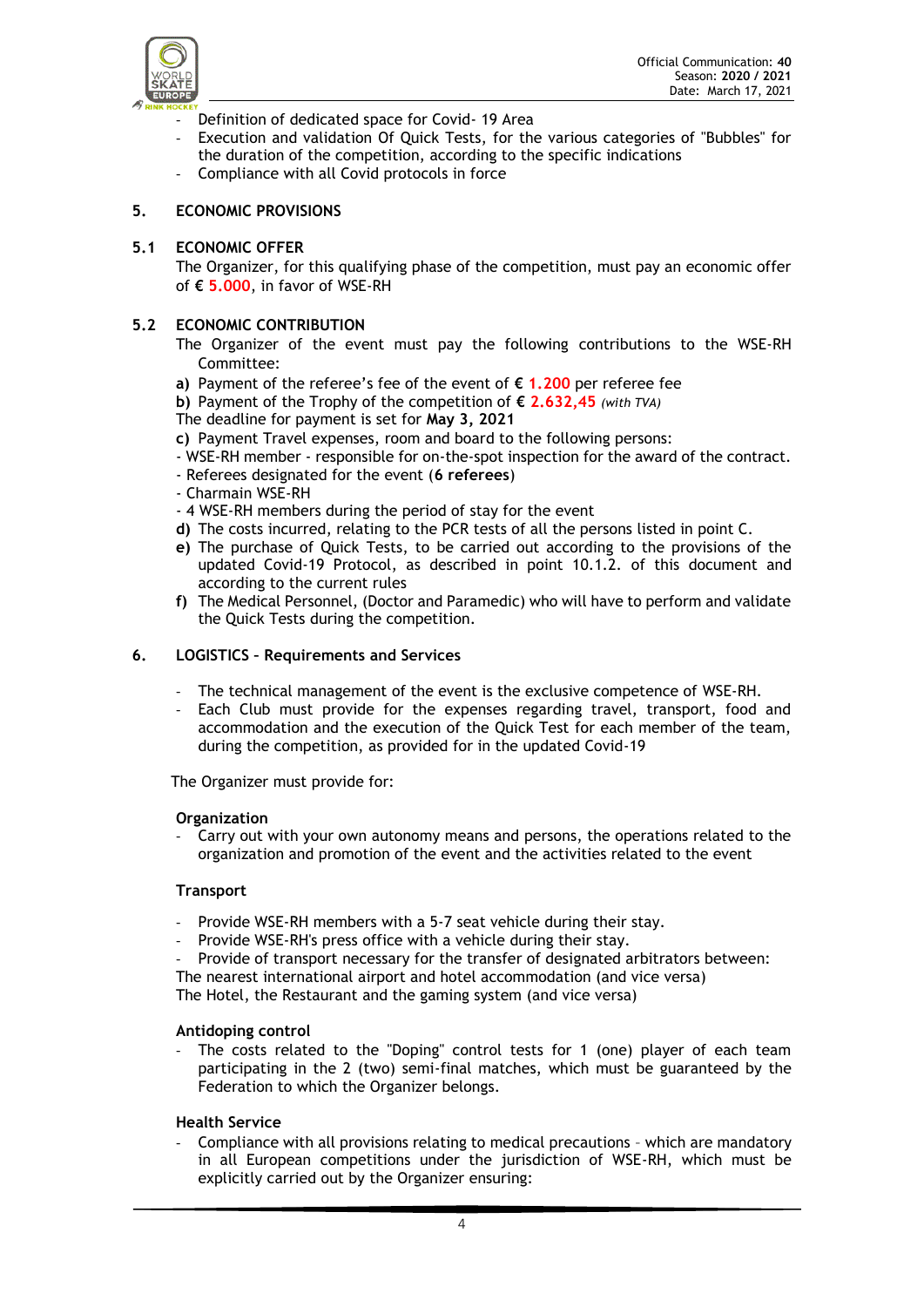

- Definition of dedicated space for Covid- 19 Area
- Execution and validation Of Quick Tests, for the various categories of "Bubbles" for the duration of the competition, according to the specific indications
- Compliance with all Covid protocols in force

#### **5. ECONOMIC PROVISIONS**

#### **5.1 ECONOMIC OFFER**

The Organizer, for this qualifying phase of the competition, must pay an economic offer of **€ 5.000**, in favor of WSE-RH

#### **5.2 ECONOMIC CONTRIBUTION**

- The Organizer of the event must pay the following contributions to the WSE-RH Committee:
- **a)** Payment of the referee's fee of the event of **€ 1.200** per referee fee
- **b)** Payment of the Trophy of the competition of **€ 2.632,45** *(with TVA)* The deadline for payment is set for **May 3, 2021**
- **c)** Payment Travel expenses, room and board to the following persons:
- WSE-RH member responsible for on-the-spot inspection for the award of the contract.
- Referees designated for the event (**6 referees**)
- Charmain WSE-RH
- 4 WSE-RH members during the period of stay for the event
- **d)** The costs incurred, relating to the PCR tests of all the persons listed in point C.
- **e)** The purchase of Quick Tests, to be carried out according to the provisions of the updated Covid-19 Protocol, as described in point 10.1.2. of this document and according to the current rules
- **f)** The Medical Personnel, (Doctor and Paramedic) who will have to perform and validate the Quick Tests during the competition.

#### **6. LOGISTICS – Requirements and Services**

- The technical management of the event is the exclusive competence of WSE-RH.
- Each Club must provide for the expenses regarding travel, transport, food and accommodation and the execution of the Quick Test for each member of the team, during the competition, as provided for in the updated Covid-19

The Organizer must provide for:

#### **Organization**

- Carry out with your own autonomy means and persons, the operations related to the organization and promotion of the event and the activities related to the event

#### **Transport**

- Provide WSE-RH members with a 5-7 seat vehicle during their stay.
- Provide WSE-RH's press office with a vehicle during their stay.
- Provide of transport necessary for the transfer of designated arbitrators between:

The nearest international airport and hotel accommodation (and vice versa) The Hotel, the Restaurant and the gaming system (and vice versa)

## **Antidoping control**

- The costs related to the "Doping" control tests for 1 (one) player of each team participating in the 2 (two) semi-final matches, which must be guaranteed by the Federation to which the Organizer belongs.

#### **Health Service**

- Compliance with all provisions relating to medical precautions – which are mandatory in all European competitions under the jurisdiction of WSE-RH, which must be explicitly carried out by the Organizer ensuring: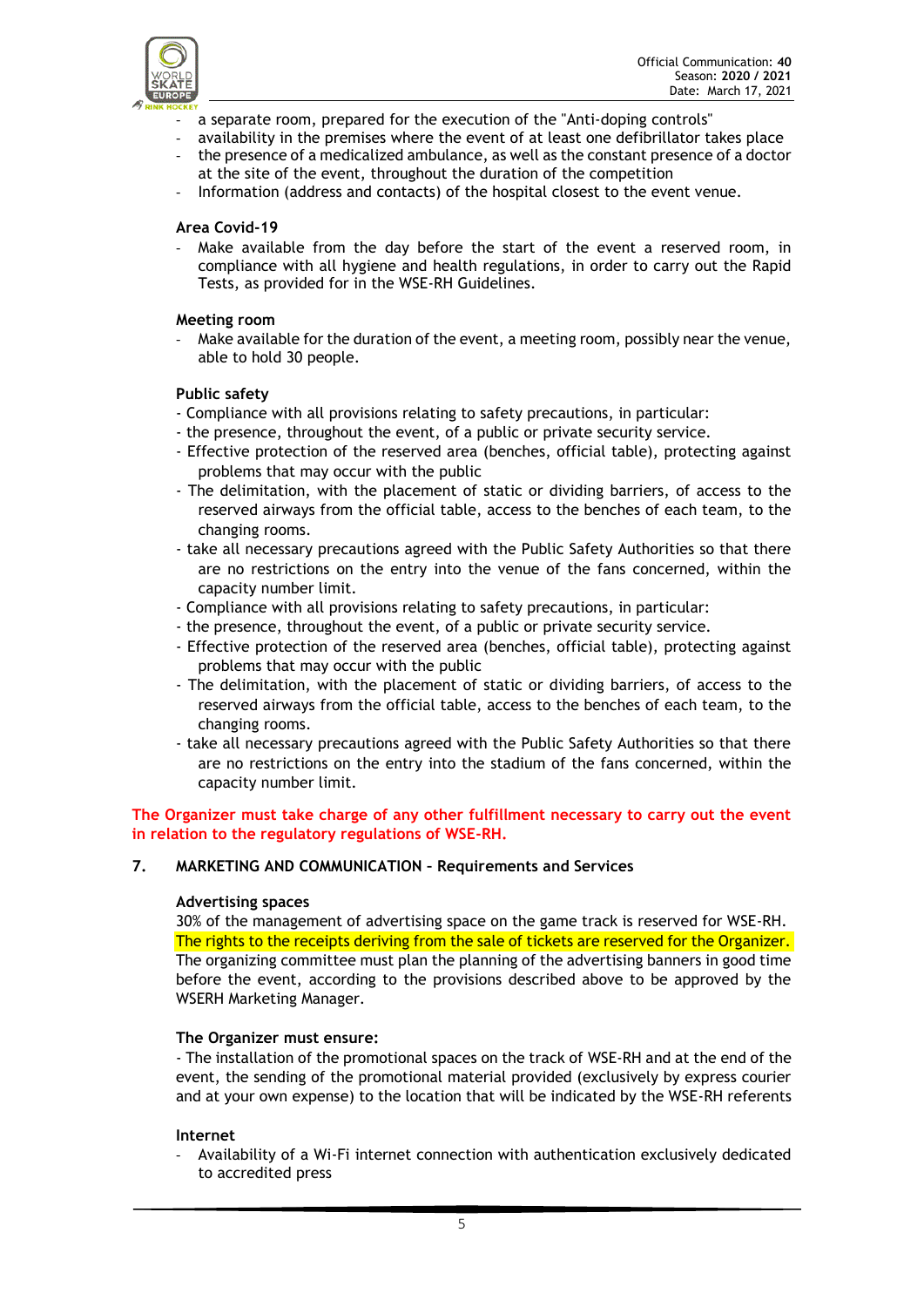

- a separate room, prepared for the execution of the "Anti-doping controls"
- availability in the premises where the event of at least one defibrillator takes place
- the presence of a medicalized ambulance, as well as the constant presence of a doctor at the site of the event, throughout the duration of the competition
- Information (address and contacts) of the hospital closest to the event venue.

## **Area Covid-19**

Make available from the day before the start of the event a reserved room, in compliance with all hygiene and health regulations, in order to carry out the Rapid Tests, as provided for in the WSE-RH Guidelines.

#### **Meeting room**

- Make available for the duration of the event, a meeting room, possibly near the venue, able to hold 30 people.

## **Public safety**

- Compliance with all provisions relating to safety precautions, in particular:
- the presence, throughout the event, of a public or private security service.
- Effective protection of the reserved area (benches, official table), protecting against problems that may occur with the public
- The delimitation, with the placement of static or dividing barriers, of access to the reserved airways from the official table, access to the benches of each team, to the changing rooms.
- take all necessary precautions agreed with the Public Safety Authorities so that there are no restrictions on the entry into the venue of the fans concerned, within the capacity number limit.
- Compliance with all provisions relating to safety precautions, in particular:
- the presence, throughout the event, of a public or private security service.
- Effective protection of the reserved area (benches, official table), protecting against problems that may occur with the public
- The delimitation, with the placement of static or dividing barriers, of access to the reserved airways from the official table, access to the benches of each team, to the changing rooms.
- take all necessary precautions agreed with the Public Safety Authorities so that there are no restrictions on the entry into the stadium of the fans concerned, within the capacity number limit.

**The Organizer must take charge of any other fulfillment necessary to carry out the event in relation to the regulatory regulations of WSE-RH.**

#### **7. MARKETING AND COMMUNICATION – Requirements and Services**

#### **Advertising spaces**

30% of the management of advertising space on the game track is reserved for WSE-RH. The rights to the receipts deriving from the sale of tickets are reserved for the Organizer. The organizing committee must plan the planning of the advertising banners in good time before the event, according to the provisions described above to be approved by the WSERH Marketing Manager.

#### **The Organizer must ensure:**

- The installation of the promotional spaces on the track of WSE-RH and at the end of the event, the sending of the promotional material provided (exclusively by express courier and at your own expense) to the location that will be indicated by the WSE-RH referents

#### **Internet**

- Availability of a Wi-Fi internet connection with authentication exclusively dedicated to accredited press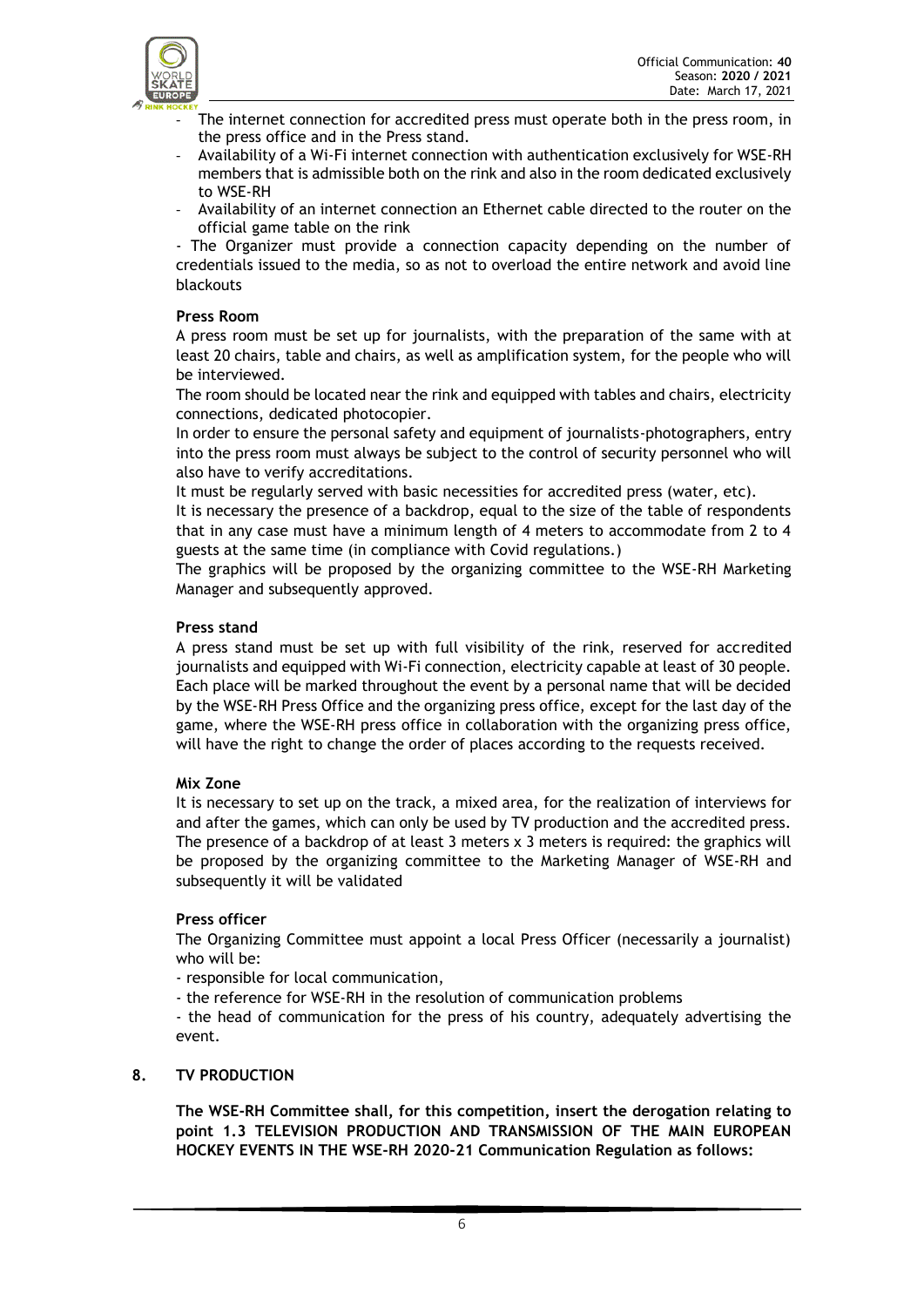- The internet connection for accredited press must operate both in the press room, in the press office and in the Press stand.
- Availability of a Wi-Fi internet connection with authentication exclusively for WSE-RH members that is admissible both on the rink and also in the room dedicated exclusively to WSE-RH
- Availability of an internet connection an Ethernet cable directed to the router on the official game table on the rink

- The Organizer must provide a connection capacity depending on the number of credentials issued to the media, so as not to overload the entire network and avoid line blackouts

# **Press Room**

A press room must be set up for journalists, with the preparation of the same with at least 20 chairs, table and chairs, as well as amplification system, for the people who will be interviewed.

The room should be located near the rink and equipped with tables and chairs, electricity connections, dedicated photocopier.

In order to ensure the personal safety and equipment of journalists-photographers, entry into the press room must always be subject to the control of security personnel who will also have to verify accreditations.

It must be regularly served with basic necessities for accredited press (water, etc).

It is necessary the presence of a backdrop, equal to the size of the table of respondents that in any case must have a minimum length of 4 meters to accommodate from 2 to 4 guests at the same time (in compliance with Covid regulations.)

The graphics will be proposed by the organizing committee to the WSE-RH Marketing Manager and subsequently approved.

## **Press stand**

A press stand must be set up with full visibility of the rink, reserved for accredited journalists and equipped with Wi-Fi connection, electricity capable at least of 30 people. Each place will be marked throughout the event by a personal name that will be decided by the WSE-RH Press Office and the organizing press office, except for the last day of the game, where the WSE-RH press office in collaboration with the organizing press office, will have the right to change the order of places according to the requests received.

# **Mix Zone**

It is necessary to set up on the track, a mixed area, for the realization of interviews for and after the games, which can only be used by TV production and the accredited press. The presence of a backdrop of at least 3 meters x 3 meters is required: the graphics will be proposed by the organizing committee to the Marketing Manager of WSE-RH and subsequently it will be validated

#### **Press officer**

The Organizing Committee must appoint a local Press Officer (necessarily a journalist) who will be:

- responsible for local communication,

- the reference for WSE-RH in the resolution of communication problems

- the head of communication for the press of his country, adequately advertising the event.

#### **8. TV PRODUCTION**

**The WSE-RH Committee shall, for this competition, insert the derogation relating to point 1.3 TELEVISION PRODUCTION AND TRANSMISSION OF THE MAIN EUROPEAN HOCKEY EVENTS IN THE WSE-RH 2020-21 Communication Regulation as follows:**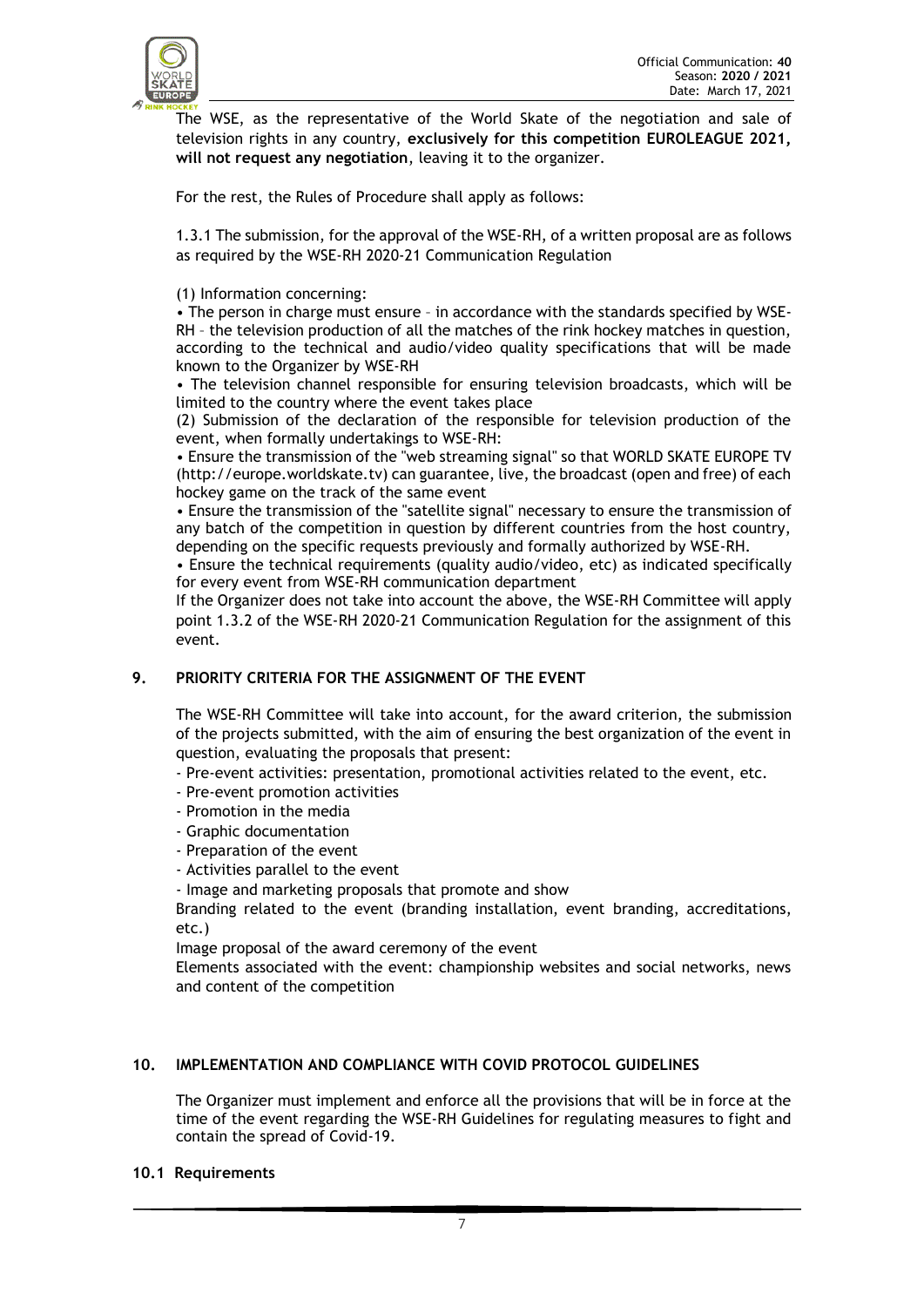

The WSE, as the representative of the World Skate of the negotiation and sale of television rights in any country, **exclusively for this competition EUROLEAGUE 2021, will not request any negotiation**, leaving it to the organizer.

For the rest, the Rules of Procedure shall apply as follows:

1.3.1 The submission, for the approval of the WSE-RH, of a written proposal are as follows as required by the WSE-RH 2020-21 Communication Regulation

(1) Information concerning:

• The person in charge must ensure – in accordance with the standards specified by WSE-RH – the television production of all the matches of the rink hockey matches in question, according to the technical and audio/video quality specifications that will be made known to the Organizer by WSE-RH

• The television channel responsible for ensuring television broadcasts, which will be limited to the country where the event takes place

(2) Submission of the declaration of the responsible for television production of the event, when formally undertakings to WSE-RH:

• Ensure the transmission of the "web streaming signal" so that WORLD SKATE EUROPE TV (http://europe.worldskate.tv) can guarantee, live, the broadcast (open and free) of each hockey game on the track of the same event

• Ensure the transmission of the "satellite signal" necessary to ensure the transmission of any batch of the competition in question by different countries from the host country, depending on the specific requests previously and formally authorized by WSE-RH.

• Ensure the technical requirements (quality audio/video, etc) as indicated specifically for every event from WSE-RH communication department

If the Organizer does not take into account the above, the WSE-RH Committee will apply point 1.3.2 of the WSE-RH 2020-21 Communication Regulation for the assignment of this event.

# **9. PRIORITY CRITERIA FOR THE ASSIGNMENT OF THE EVENT**

The WSE-RH Committee will take into account, for the award criterion, the submission of the projects submitted, with the aim of ensuring the best organization of the event in question, evaluating the proposals that present:

- Pre-event activities: presentation, promotional activities related to the event, etc.
- Pre-event promotion activities
- Promotion in the media
- Graphic documentation
- Preparation of the event
- Activities parallel to the event

- Image and marketing proposals that promote and show

Branding related to the event (branding installation, event branding, accreditations, etc.)

Image proposal of the award ceremony of the event

Elements associated with the event: championship websites and social networks, news and content of the competition

#### **10. IMPLEMENTATION AND COMPLIANCE WITH COVID PROTOCOL GUIDELINES**

The Organizer must implement and enforce all the provisions that will be in force at the time of the event regarding the WSE-RH Guidelines for regulating measures to fight and contain the spread of Covid-19.

#### **10.1 Requirements**